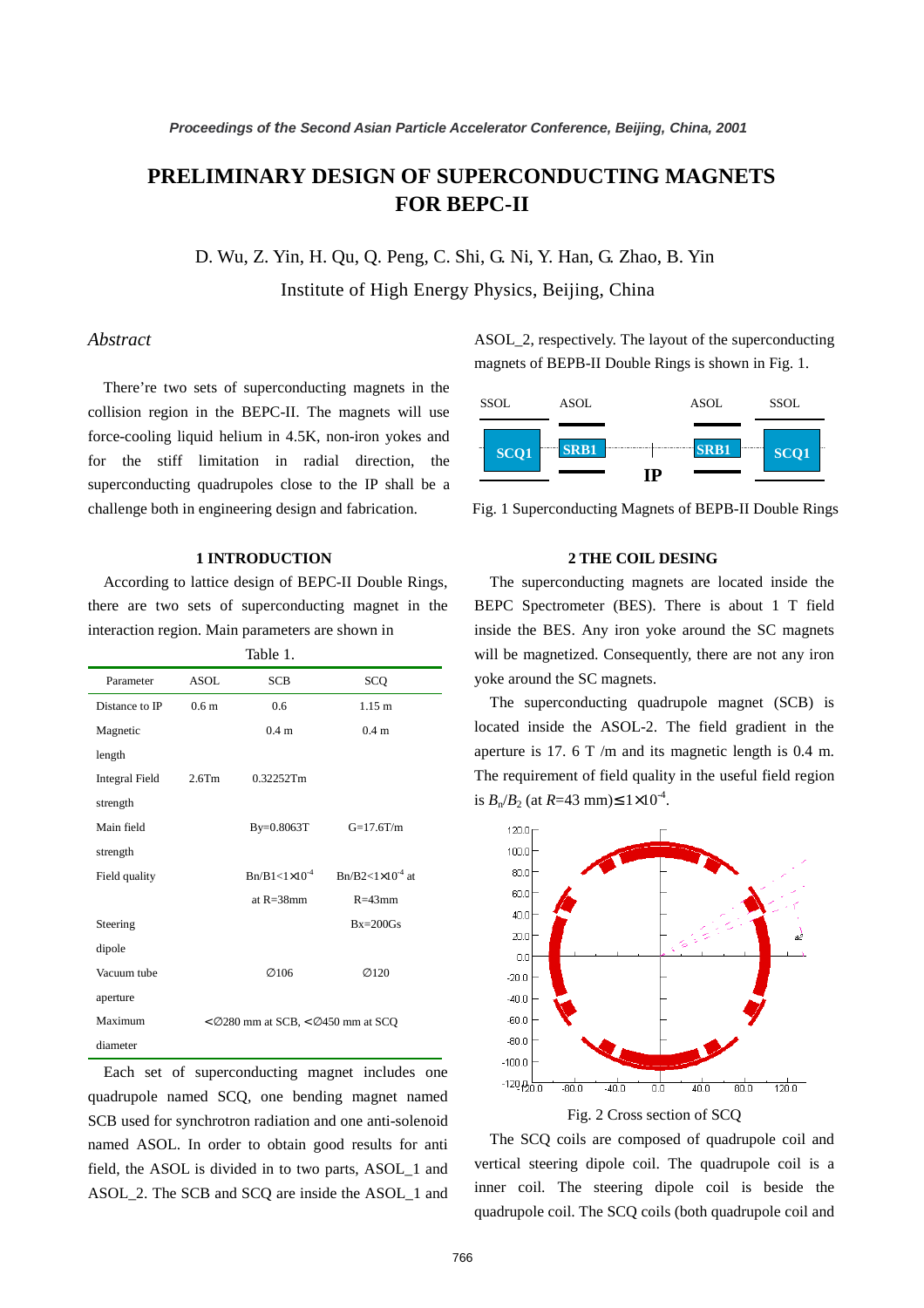# **PRELIMINARY DESIGN OF SUPERCONDUCTING MAGNETS FOR BEPC-II**

D. Wu, Z. Yin, H. Qu, Q. Peng, C. Shi, G. Ni, Y. Han, G. Zhao, B. Yin Institute of High Energy Physics, Beijing, China

## *Abstract*

There're two sets of superconducting magnets in the collision region in the BEPC-II. The magnets will use force-cooling liquid helium in 4.5K, non-iron yokes and for the stiff limitation in radial direction, the superconducting quadrupoles close to the IP shall be a challenge both in engineering design and fabrication.

# **1 INTRODUCTION**

 According to lattice design of BEPC-II Double Rings, there are two sets of superconducting magnet in the interaction region. Main parameters are shown in

|                       |                                        | Table 1.                   |                           |
|-----------------------|----------------------------------------|----------------------------|---------------------------|
| Parameter             | <b>ASOL</b>                            | <b>SCB</b>                 | SCQ                       |
| Distance to IP        | 0.6 <sub>m</sub>                       | 0.6                        | 1.15 m                    |
| Magnetic              |                                        | 0.4 <sub>m</sub>           | 0.4 <sub>m</sub>          |
| length                |                                        |                            |                           |
| <b>Integral Field</b> | $2.6$ Tm                               | 0.32252Tm                  |                           |
| strength              |                                        |                            |                           |
| Main field            |                                        | By=0.8063T                 | $G=17.6T/m$               |
| strength              |                                        |                            |                           |
| Field quality         |                                        | $Br/B1 < 1 \times 10^{-4}$ | $Bn/B2<1\times10^{-4}$ at |
|                       |                                        | at $R = 38$ mm             | $R = 43$ mm               |
| Steering              |                                        |                            | $Bx=200$ Gs               |
| dipole                |                                        |                            |                           |
| Vacuum tube           |                                        | Ø106                       | Ø120                      |
| aperture              |                                        |                            |                           |
| Maximum               | $<$ Ø280 mm at SCB, $<$ Ø450 mm at SCQ |                            |                           |
| diameter              |                                        |                            |                           |

 Each set of superconducting magnet includes one quadrupole named SCQ, one bending magnet named SCB used for synchrotron radiation and one anti-solenoid named ASOL. In order to obtain good results for anti field, the ASOL is divided in to two parts, ASOL\_1 and ASOL\_2. The SCB and SCQ are inside the ASOL\_1 and

ASOL\_2, respectively. The layout of the superconducting magnets of BEPB-II Double Rings is shown in Fig. 1.



Fig. 1 Superconducting Magnets of BEPB-II Double Rings

## **2 THE COIL DESING**

 The superconducting magnets are located inside the BEPC Spectrometer (BES). There is about 1 T field inside the BES. Any iron yoke around the SC magnets will be magnetized. Consequently, there are not any iron yoke around the SC magnets.

 The superconducting quadrupole magnet (SCB) is located inside the ASOL-2. The field gradient in the aperture is 17. 6 T /m and its magnetic length is 0.4 m. The requirement of field quality in the useful field region is  $B_n/B_2$  (at *R*=43 mm)≤ 1×10<sup>-4</sup>.



 The SCQ coils are composed of quadrupole coil and vertical steering dipole coil. The quadrupole coil is a inner coil. The steering dipole coil is beside the quadrupole coil. The SCQ coils (both quadrupole coil and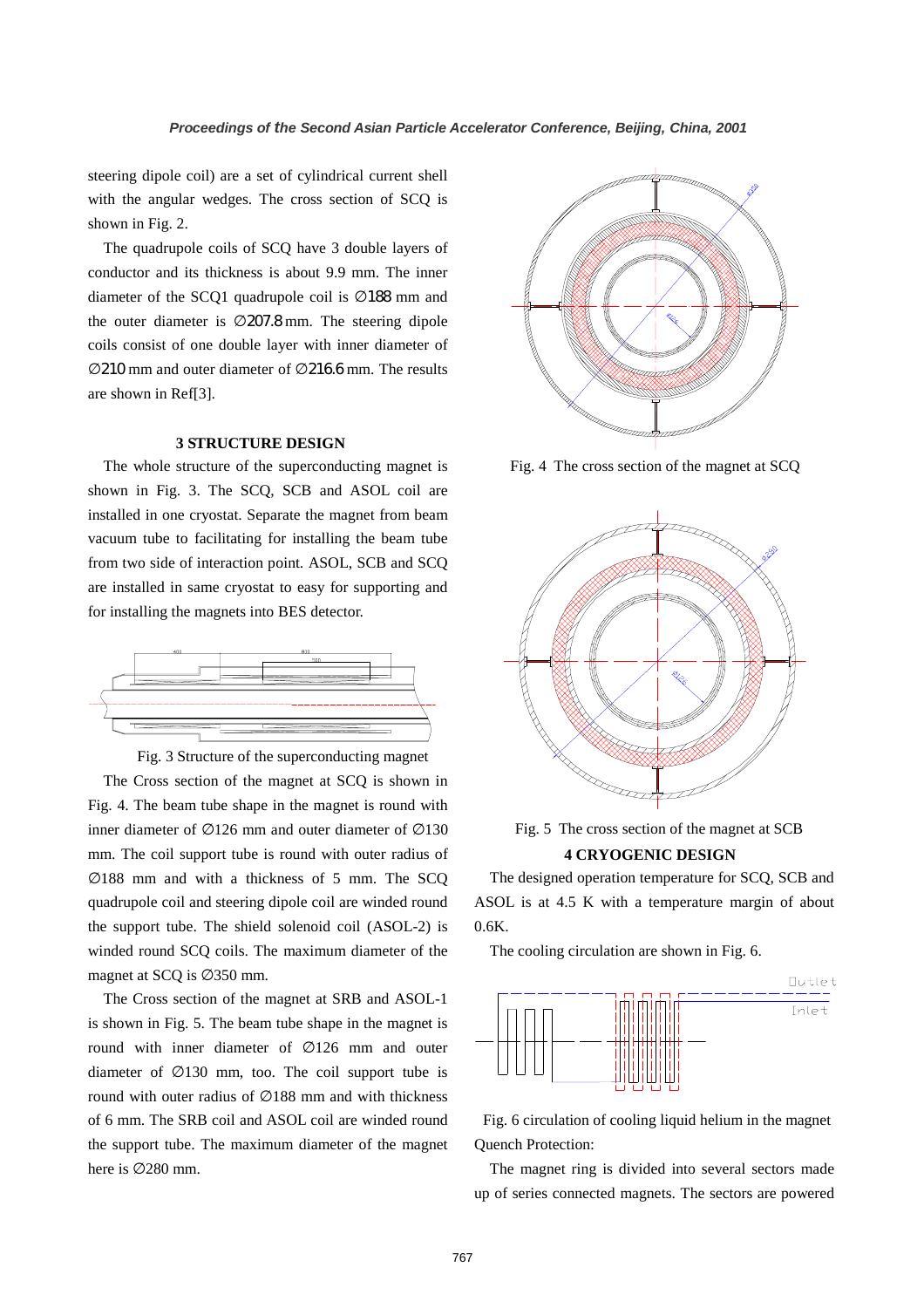steering dipole coil) are a set of cylindrical current shell with the angular wedges. The cross section of SCQ is shown in Fig. 2.

 The quadrupole coils of SCQ have 3 double layers of conductor and its thickness is about 9.9 mm. The inner diameter of the SCQ1 quadrupole coil is ∅188 mm and the outer diameter is ∅207.8 mm. The steering dipole coils consist of one double layer with inner diameter of ∅210 mm and outer diameter of ∅216.6 mm. The results are shown in Ref[3].

## **3 STRUCTURE DESIGN**

 The whole structure of the superconducting magnet is shown in Fig. 3. The SCQ, SCB and ASOL coil are installed in one cryostat. Separate the magnet from beam vacuum tube to facilitating for installing the beam tube from two side of interaction point. ASOL, SCB and SCQ are installed in same cryostat to easy for supporting and for installing the magnets into BES detector.



Fig. 3 Structure of the superconducting magnet

 The Cross section of the magnet at SCQ is shown in Fig. 4. The beam tube shape in the magnet is round with inner diameter of ∅126 mm and outer diameter of ∅130 mm. The coil support tube is round with outer radius of ∅188 mm and with a thickness of 5 mm. The SCQ quadrupole coil and steering dipole coil are winded round the support tube. The shield solenoid coil (ASOL-2) is winded round SCQ coils. The maximum diameter of the magnet at SCQ is ∅350 mm.

 The Cross section of the magnet at SRB and ASOL-1 is shown in Fig. 5. The beam tube shape in the magnet is round with inner diameter of ∅126 mm and outer diameter of ∅130 mm, too. The coil support tube is round with outer radius of ∅188 mm and with thickness of 6 mm. The SRB coil and ASOL coil are winded round the support tube. The maximum diameter of the magnet here is ∅280 mm.



Fig. 4 The cross section of the magnet at SCQ



Fig. 5 The cross section of the magnet at SCB

# **4 CRYOGENIC DESIGN**

 The designed operation temperature for SCQ, SCB and ASOL is at 4.5 K with a temperature margin of about 0.6K.

The cooling circulation are shown in Fig. 6.



Fig. 6 circulation of cooling liquid helium in the magnet Quench Protection:

 The magnet ring is divided into several sectors made up of series connected magnets. The sectors are powered